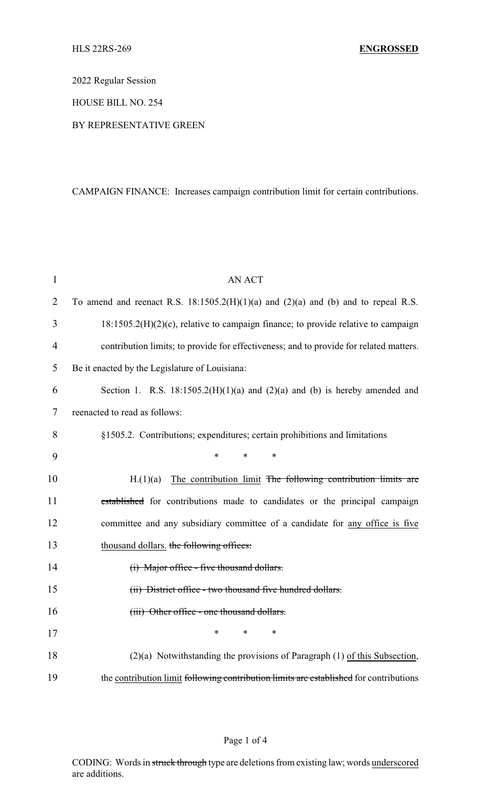2022 Regular Session

HOUSE BILL NO. 254

BY REPRESENTATIVE GREEN

CAMPAIGN FINANCE: Increases campaign contribution limit for certain contributions.

| $\mathbf{1}$   | <b>AN ACT</b>                                                                            |
|----------------|------------------------------------------------------------------------------------------|
| $\overline{2}$ | To amend and reenact R.S. $18:1505.2(H)(1)(a)$ and $(2)(a)$ and $(b)$ and to repeal R.S. |
| 3              | $18:1505.2(H)(2)(c)$ , relative to campaign finance; to provide relative to campaign     |
| $\overline{4}$ | contribution limits; to provide for effectiveness; and to provide for related matters.   |
| 5              | Be it enacted by the Legislature of Louisiana:                                           |
| 6              | Section 1. R.S. $18:1505.2(H)(1)(a)$ and $(2)(a)$ and $(b)$ is hereby amended and        |
| 7              | reenacted to read as follows:                                                            |
| 8              | §1505.2. Contributions; expenditures; certain prohibitions and limitations               |
| 9              | *<br>*<br>*                                                                              |
| 10             | The contribution limit The following contribution limits are<br>H.(1)(a)                 |
| 11             | established for contributions made to candidates or the principal campaign               |
| 12             | committee and any subsidiary committee of a candidate for any office is five             |
| 13             | thousand dollars. the following offices:                                                 |
| 14             | (i) Major office - five thousand dollars.                                                |
| 15             | (ii) District office - two thousand five hundred dollars.                                |
| 16             | (iii) Other office - one thousand dollars.                                               |
| 17             | *<br>*<br>*                                                                              |
| 18             | $(2)(a)$ Notwithstanding the provisions of Paragraph $(1)$ of this Subsection,           |
| 19             | the contribution limit following contribution limits are established for contributions   |

## Page 1 of 4

CODING: Words in struck through type are deletions from existing law; words underscored are additions.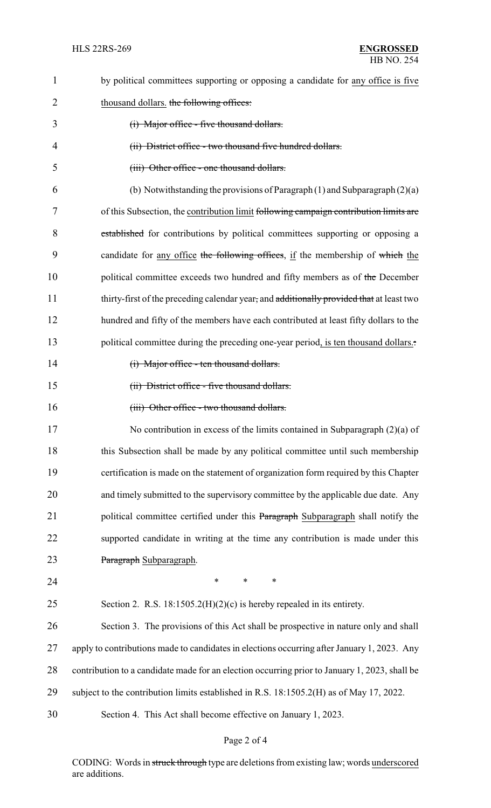| $\mathbf{1}$ | by political committees supporting or opposing a candidate for any office is five             |  |  |  |
|--------------|-----------------------------------------------------------------------------------------------|--|--|--|
| 2            | thousand dollars. the following offices:                                                      |  |  |  |
| 3            | (i) Major office - five thousand dollars.                                                     |  |  |  |
| 4            | (ii) District office - two thousand five hundred dollars.                                     |  |  |  |
| 5            | (iii) Other office - one thousand dollars.                                                    |  |  |  |
| 6            | (b) Notwithstanding the provisions of Paragraph $(1)$ and Subparagraph $(2)(a)$               |  |  |  |
| 7            | of this Subsection, the contribution limit following campaign contribution limits are         |  |  |  |
| 8            | established for contributions by political committees supporting or opposing a                |  |  |  |
| 9            | candidate for any office the following offices, if the membership of which the                |  |  |  |
| 10           | political committee exceeds two hundred and fifty members as of the December                  |  |  |  |
| 11           | thirty-first of the preceding calendar year, and additionally provided that at least two      |  |  |  |
| 12           | hundred and fifty of the members have each contributed at least fifty dollars to the          |  |  |  |
| 13           | political committee during the preceding one-year period, is ten thousand dollars             |  |  |  |
| 14           | (i) Major office - ten thousand dollars.                                                      |  |  |  |
| 15           | (ii) District office - five thousand dollars.                                                 |  |  |  |
| 16           | (iii) Other office - two thousand dollars.                                                    |  |  |  |
| 17           | No contribution in excess of the limits contained in Subparagraph $(2)(a)$ of                 |  |  |  |
| 18           | this Subsection shall be made by any political committee until such membership                |  |  |  |
| 19           | certification is made on the statement of organization form required by this Chapter          |  |  |  |
| 20           | and timely submitted to the supervisory committee by the applicable due date. Any             |  |  |  |
| 21           | political committee certified under this Paragraph Subparagraph shall notify the              |  |  |  |
| 22           | supported candidate in writing at the time any contribution is made under this                |  |  |  |
| 23           | Paragraph Subparagraph.                                                                       |  |  |  |
| 24           | $\ast$<br>$\ast$<br>$\ast$                                                                    |  |  |  |
| 25           | Section 2. R.S. $18:1505.2(H)(2)(c)$ is hereby repealed in its entirety.                      |  |  |  |
| 26           | Section 3. The provisions of this Act shall be prospective in nature only and shall           |  |  |  |
| 27           | apply to contributions made to candidates in elections occurring after January 1, 2023. Any   |  |  |  |
| 28           | contribution to a candidate made for an election occurring prior to January 1, 2023, shall be |  |  |  |
| 29           | subject to the contribution limits established in R.S. 18:1505.2(H) as of May 17, 2022.       |  |  |  |
| 30           | Section 4. This Act shall become effective on January 1, 2023.                                |  |  |  |

## Page 2 of 4

CODING: Words in struck through type are deletions from existing law; words underscored are additions.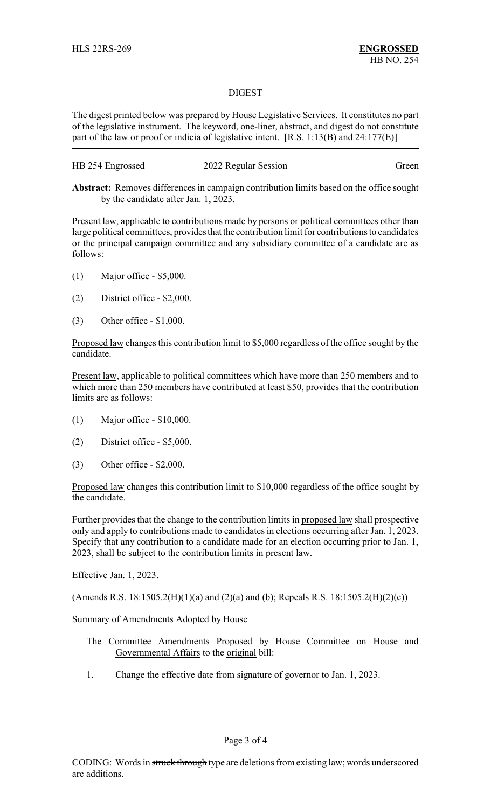## DIGEST

The digest printed below was prepared by House Legislative Services. It constitutes no part of the legislative instrument. The keyword, one-liner, abstract, and digest do not constitute part of the law or proof or indicia of legislative intent. [R.S. 1:13(B) and 24:177(E)]

| HB 254 Engrossed | 2022 Regular Session | Green |
|------------------|----------------------|-------|
|------------------|----------------------|-------|

**Abstract:** Removes differences in campaign contribution limits based on the office sought by the candidate after Jan. 1, 2023.

Present law, applicable to contributions made by persons or political committees other than large political committees, provides that the contribution limit for contributions to candidates or the principal campaign committee and any subsidiary committee of a candidate are as follows:

- (1) Major office \$5,000.
- (2) District office \$2,000.
- (3) Other office \$1,000.

Proposed law changes this contribution limit to \$5,000 regardless of the office sought by the candidate.

Present law, applicable to political committees which have more than 250 members and to which more than 250 members have contributed at least \$50, provides that the contribution limits are as follows:

- (1) Major office \$10,000.
- (2) District office \$5,000.
- (3) Other office \$2,000.

Proposed law changes this contribution limit to \$10,000 regardless of the office sought by the candidate.

Further provides that the change to the contribution limits in proposed law shall prospective only and apply to contributions made to candidates in elections occurring after Jan. 1, 2023. Specify that any contribution to a candidate made for an election occurring prior to Jan. 1, 2023, shall be subject to the contribution limits in present law.

Effective Jan. 1, 2023.

(Amends R.S. 18:1505.2(H)(1)(a) and (2)(a) and (b); Repeals R.S. 18:1505.2(H)(2)(c))

## Summary of Amendments Adopted by House

- The Committee Amendments Proposed by House Committee on House and Governmental Affairs to the original bill:
- 1. Change the effective date from signature of governor to Jan. 1, 2023.